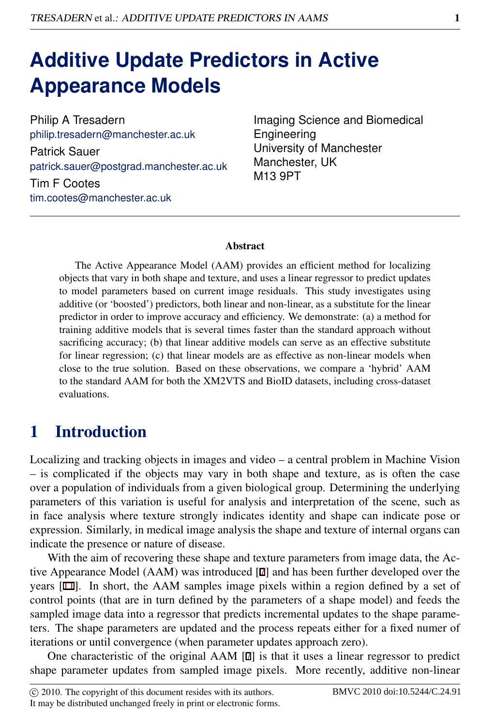# **Additive Update Predictors in Active Appearance Models**

Philip A Tresadern philip.tresadern@manchester.ac.uk Patrick Sauer patrick.sauer@postgrad.manchester.ac.uk

Tim F Cootes tim.cootes@manchester.ac.uk Imaging Science and Biomedical Engineering University of Manchester Manchester, UK M13 9PT

#### **Abstract**

The Active Appearance Model (AAM) provides an efficient method for localizing objects that vary in both shape and texture, and uses a linear regressor to predict updates to model parameters based on current image residuals. This study investigates using additive (or 'boosted') predictors, both linear and non-linear, as a substitute for the linear predictor in order to improve accuracy and efficiency. We demonstrate: (a) a method for training additive models that is several times faster than the standard approach without sacrificing accuracy; (b) that linear additive models can serve as an effective substitute for linear regression; (c) that linear models are as effective as non-linear models when close to the true solution. Based on these observations, we compare a 'hybrid' AAM to the standard AAM for both the XM2VTS and BioID datasets, including cross-dataset evaluations.

# 1 Introduction

Localizing and tracking objects in images and video – a central problem in Machine Vision – is complicated if the objects may vary in both shape and texture, as is often the case over a population of individuals from a given biological group. Determining the underlying parameters of this variation is useful for analysis and interpretation of the scene, such as in face analysis where texture strongly indicates identity and shape can indicate pose or expression. Similarly, in medical image analysis the shape and texture of internal organs can indicate the presence or nature of disease.

With the aim of recovering these shape and texture parameters from image data, the Active Appearance Model (AAM) was introduced [7] and has been further developed over the years [11]. In short, the AAM samples image pixels within a region defined by a set of control points (that are in turn defined by the parameters of a shape model) and feeds the sampled image data into a regressor that predicts incremental updates to the shape parameters. The shape parameters are updated and the process repeats either for a fixed numer of iterations or until convergence (when parameter updates approach zero).

One characteristic of the original AAM [7] is that it uses a linear regressor to predict shape parameter updates from sampled image pixels. More recently, additive non-linear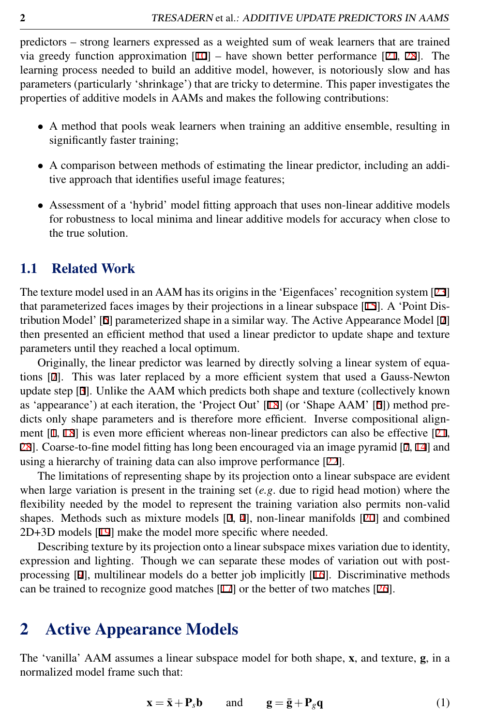predictors – strong learners expressed as a weighted sum of weak learners that are trained via greedy function approximation  $[10]$  – have shown better performance  $[21, 28]$ . The learning process needed to build an additive model, however, is notoriously slow and has parameters (particularly 'shrinkage') that are tricky to determine. This paper investigates the properties of additive models in AAMs and makes the following contributions:

- A method that pools weak learners when training an additive ensemble, resulting in significantly faster training;
- A comparison between methods of estimating the linear predictor, including an additive approach that identifies useful image features;
- Assessment of a 'hybrid' model fitting approach that uses non-linear additive models for robustness to local minima and linear additive models for accuracy when close to the true solution.

#### 1.1 Related Work

The texture model used in an AAM has its origins in the 'Eigenfaces' recognition system [23] that parameterized faces images by their projections in a linear subspace [15]. A 'Point Distribution Model' [5] parameterized shape in a similar way. The Active Appearance Model [7] then presented an efficient method that used a linear predictor to update shape and texture parameters until they reached a local optimum.

Originally, the linear predictor was learned by directly solving a linear system of equations [7]. This was later replaced by a more efficient system that used a Gauss-Newton update step [3]. Unlike the AAM which predicts both shape and texture (collectively known as 'appearance') at each iteration, the 'Project Out' [18] (or 'Shape AAM' [6]) method predicts only shape parameters and is therefore more efficient. Inverse compositional alignment [1, 18] is even more efficient whereas non-linear predictors can also be effective [21, 28]. Coarse-to-fine model fitting has long been encouraged via an image pyramid [7, 14] and using a hierarchy of training data can also improve performance [22].

The limitations of representing shape by its projection onto a linear subspace are evident when large variation is present in the training set (*e.g*. due to rigid head motion) where the flexibility needed by the model to represent the training variation also permits non-valid shapes. Methods such as mixture models [2, 4], non-linear manifolds [20] and combined 2D+3D models [19] make the model more specific where needed.

Describing texture by its projection onto a linear subspace mixes variation due to identity, expression and lighting. Though we can separate these modes of variation out with postprocessing [9], multilinear models do a better job implicitly [16]. Discriminative methods can be trained to recognize good matches  $[17]$  or the better of two matches  $[26]$ .

### 2 Active Appearance Models

The 'vanilla' AAM assumes a linear subspace model for both shape, x, and texture, g, in a normalized model frame such that:

$$
\mathbf{x} = \bar{\mathbf{x}} + \mathbf{P}_s \mathbf{b} \qquad \text{and} \qquad \mathbf{g} = \bar{\mathbf{g}} + \mathbf{P}_g \mathbf{q} \tag{1}
$$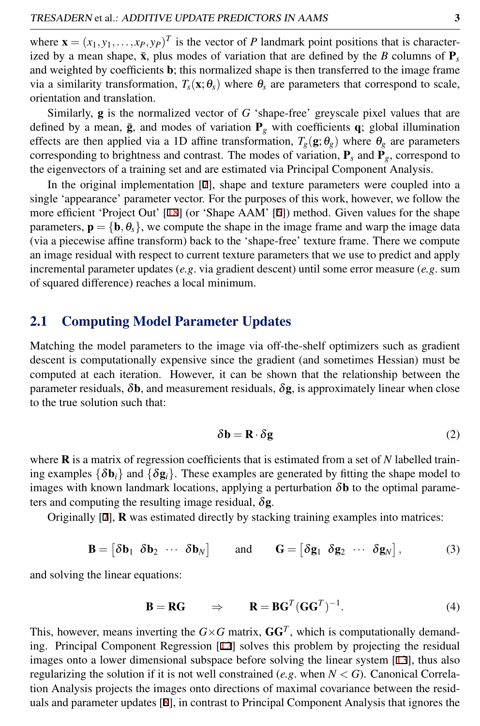where  $\mathbf{x} = (x_1, y_1, \dots, x_p, y_p)^T$  is the vector of *P* landmark point positions that is characterized by a mean shape,  $\bar{x}$ , plus modes of variation that are defined by the *B* columns of  $P_s$ and weighted by coefficients b; this normalized shape is then transferred to the image frame via a similarity transformation,  $T_s(\mathbf{x}; \theta_s)$  where  $\theta_s$  are parameters that correspond to scale, orientation and translation.

Similarly, g is the normalized vector of *G* 'shape-free' greyscale pixel values that are defined by a mean,  $\bar{g}$ , and modes of variation  $P_g$  with coefficients q; global illumination effects are then applied via a 1D affine transformation,  $T_g(\mathbf{g}; \theta_g)$  where  $\theta_g$  are parameters corresponding to brightness and contrast. The modes of variation,  $P_s$  and  $P_g$ , correspond to the eigenvectors of a training set and are estimated via Principal Component Analysis.

In the original implementation [7], shape and texture parameters were coupled into a single 'appearance' parameter vector. For the purposes of this work, however, we follow the more efficient 'Project Out' [18] (or 'Shape AAM' [6]) method. Given values for the shape parameters,  $\mathbf{p} = \{\mathbf{b}, \theta_{s}\}\)$ , we compute the shape in the image frame and warp the image data (via a piecewise affine transform) back to the 'shape-free' texture frame. There we compute an image residual with respect to current texture parameters that we use to predict and apply incremental parameter updates (*e.g*. via gradient descent) until some error measure (*e.g*. sum of squared difference) reaches a local minimum.

#### 2.1 Computing Model Parameter Updates

Matching the model parameters to the image via off-the-shelf optimizers such as gradient descent is computationally expensive since the gradient (and sometimes Hessian) must be computed at each iteration. However, it can be shown that the relationship between the parameter residuals,  $\delta b$ , and measurement residuals,  $\delta g$ , is approximately linear when close to the true solution such that:

$$
\delta \mathbf{b} = \mathbf{R} \cdot \delta \mathbf{g} \tag{2}
$$

where R is a matrix of regression coefficients that is estimated from a set of *N* labelled training examples  $\{\delta \mathbf{b}_i\}$  and  $\{\delta \mathbf{g}_i\}$ . These examples are generated by fitting the shape model to images with known landmark locations, applying a perturbation  $\delta$ **b** to the optimal parameters and computing the resulting image residual,  $\delta$ **g**.

Originally [7], R was estimated directly by stacking training examples into matrices:

 $\mathbf{B} = \begin{bmatrix} \delta \mathbf{b}_1 & \delta \mathbf{b}_2 & \cdots & \delta \mathbf{b}_N \end{bmatrix}$ and  $\mathbf{G} = \begin{bmatrix} \delta \mathbf{g}_1 & \delta \mathbf{g}_2 & \cdots & \delta \mathbf{g}_N \end{bmatrix}$  $(3)$ 

and solving the linear equations:

$$
\mathbf{B} = \mathbf{R}\mathbf{G} \qquad \Rightarrow \qquad \mathbf{R} = \mathbf{B}\mathbf{G}^T (\mathbf{G}\mathbf{G}^T)^{-1} . \tag{4}
$$

This, however, means inverting the  $G \times G$  matrix,  $GG<sup>T</sup>$ , which is computationally demanding. Principal Component Regression [12] solves this problem by projecting the residual images onto a lower dimensional subspace before solving the linear system [13], thus also regularizing the solution if it is not well constrained (*e.g*. when *N* < *G*). Canonical Correlation Analysis projects the images onto directions of maximal covariance between the residuals and parameter updates [8], in contrast to Principal Component Analysis that ignores the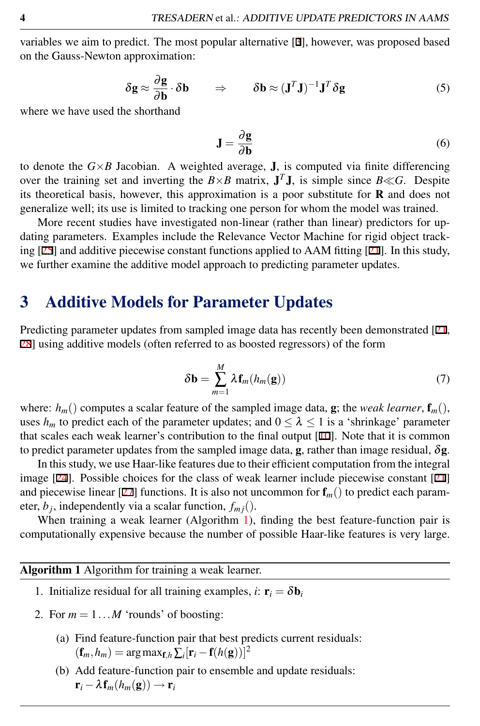variables we aim to predict. The most popular alternative [3], however, was proposed based on the Gauss-Newton approximation:

$$
\delta \mathbf{g} \approx \frac{\partial \mathbf{g}}{\partial \mathbf{b}} \cdot \delta \mathbf{b} \qquad \Rightarrow \qquad \delta \mathbf{b} \approx (\mathbf{J}^T \mathbf{J})^{-1} \mathbf{J}^T \delta \mathbf{g} \tag{5}
$$

where we have used the shorthand

$$
\mathbf{J} = \frac{\partial \mathbf{g}}{\partial \mathbf{b}} \tag{6}
$$

to denote the  $G \times B$  Jacobian. A weighted average, **J**, is computed via finite differencing over the training set and inverting the  $B \times B$  matrix,  $J^T J$ , is simple since  $B \ll G$ . Despite its theoretical basis, however, this approximation is a poor substitute for  **and does not** generalize well; its use is limited to tracking one person for whom the model was trained.

More recent studies have investigated non-linear (rather than linear) predictors for updating parameters. Examples include the Relevance Vector Machine for rigid object tracking  $[25]$  and additive piecewise constant functions applied to AAM fitting  $[21]$ . In this study, we further examine the additive model approach to predicting parameter updates.

### <span id="page-3-1"></span>3 Additive Models for Parameter Updates

Predicting parameter updates from sampled image data has recently been demonstrated [21, 28] using additive models (often referred to as boosted regressors) of the form

$$
\delta \mathbf{b} = \sum_{m=1}^{M} \lambda \mathbf{f}_m(h_m(\mathbf{g})) \tag{7}
$$

where:  $h_m()$  computes a scalar feature of the sampled image data, g; the *weak learner*,  $\mathbf{f}_m()$ , uses  $h_m$  to predict each of the parameter updates; and  $0 \leq \lambda \leq 1$  is a 'shrinkage' parameter that scales each weak learner's contribution to the final output  $[10]$ . Note that it is common to predict parameter updates from the sampled image data, g, rather than image residual, δg.

In this study, we use Haar-like features due to their efficient computation from the integral image [24]. Possible choices for the class of weak learner include piecewise constant [21] and piecewise linear [27] functions. It is also not uncommon for  $f_m$  () to predict each parameter,  $b_j$ , independently via a scalar function,  $f_{mj}()$ .

When training a weak learner (Algorithm  $1$ ), finding the best feature-function pair is computationally expensive because the number of possible Haar-like features is very large.

#### <span id="page-3-0"></span>Algorithm 1 Algorithm for training a weak learner.

- 1. Initialize residual for all training examples, *i*:  $\mathbf{r}_i = \delta \mathbf{b}_i$
- 2. For  $m = 1...M$  'rounds' of boosting:
	- (a) Find feature-function pair that best predicts current residuals:  $(\mathbf{f}_m, h_m) = \arg \max_{\mathbf{f},h} \sum_i [\mathbf{r}_i - \mathbf{f}(h(\mathbf{g}))]^2$
	- (b) Add feature-function pair to ensemble and update residuals:  $\mathbf{r}_i - \lambda \mathbf{f}_m(h_m(\mathbf{g})) \rightarrow \mathbf{r}_i$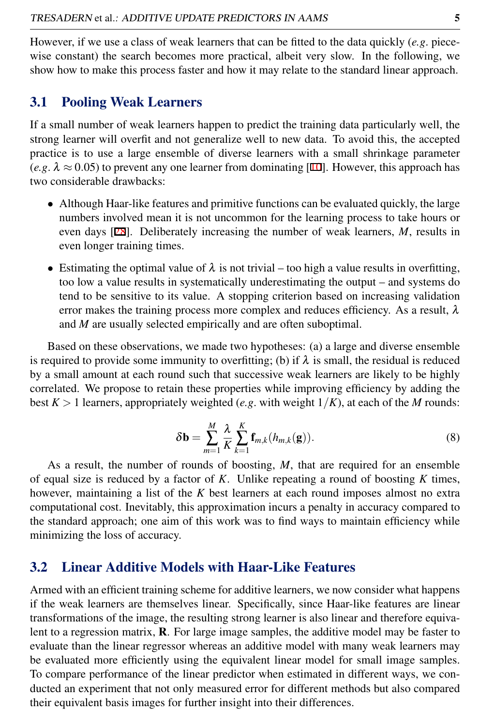However, if we use a class of weak learners that can be fitted to the data quickly (*e.g*. piecewise constant) the search becomes more practical, albeit very slow. In the following, we show how to make this process faster and how it may relate to the standard linear approach.

#### 3.1 Pooling Weak Learners

If a small number of weak learners happen to predict the training data particularly well, the strong learner will overfit and not generalize well to new data. To avoid this, the accepted practice is to use a large ensemble of diverse learners with a small shrinkage parameter  $(e.g. \lambda \approx 0.05)$  to prevent any one learner from dominating [10]. However, this approach has two considerable drawbacks:

- Although Haar-like features and primitive functions can be evaluated quickly, the large numbers involved mean it is not uncommon for the learning process to take hours or even days [28]. Deliberately increasing the number of weak learners, *M*, results in even longer training times.
- Estimating the optimal value of  $\lambda$  is not trivial too high a value results in overfitting, too low a value results in systematically underestimating the output – and systems do tend to be sensitive to its value. A stopping criterion based on increasing validation error makes the training process more complex and reduces efficiency. As a result,  $\lambda$ and *M* are usually selected empirically and are often suboptimal.

Based on these observations, we made two hypotheses: (a) a large and diverse ensemble is required to provide some immunity to overfitting; (b) if  $\lambda$  is small, the residual is reduced by a small amount at each round such that successive weak learners are likely to be highly correlated. We propose to retain these properties while improving efficiency by adding the best  $K > 1$  learners, appropriately weighted (*e.g.* with weight  $1/K$ ), at each of the *M* rounds:

$$
\delta \mathbf{b} = \sum_{m=1}^{M} \frac{\lambda}{K} \sum_{k=1}^{K} \mathbf{f}_{m,k}(h_{m,k}(\mathbf{g})).
$$
\n(8)

As a result, the number of rounds of boosting, *M*, that are required for an ensemble of equal size is reduced by a factor of *K*. Unlike repeating a round of boosting *K* times, however, maintaining a list of the *K* best learners at each round imposes almost no extra computational cost. Inevitably, this approximation incurs a penalty in accuracy compared to the standard approach; one aim of this work was to find ways to maintain efficiency while minimizing the loss of accuracy.

### 3.2 Linear Additive Models with Haar-Like Features

Armed with an efficient training scheme for additive learners, we now consider what happens if the weak learners are themselves linear. Specifically, since Haar-like features are linear transformations of the image, the resulting strong learner is also linear and therefore equivalent to a regression matrix,  $\bf{R}$ . For large image samples, the additive model may be faster to evaluate than the linear regressor whereas an additive model with many weak learners may be evaluated more efficiently using the equivalent linear model for small image samples. To compare performance of the linear predictor when estimated in different ways, we conducted an experiment that not only measured error for different methods but also compared their equivalent basis images for further insight into their differences.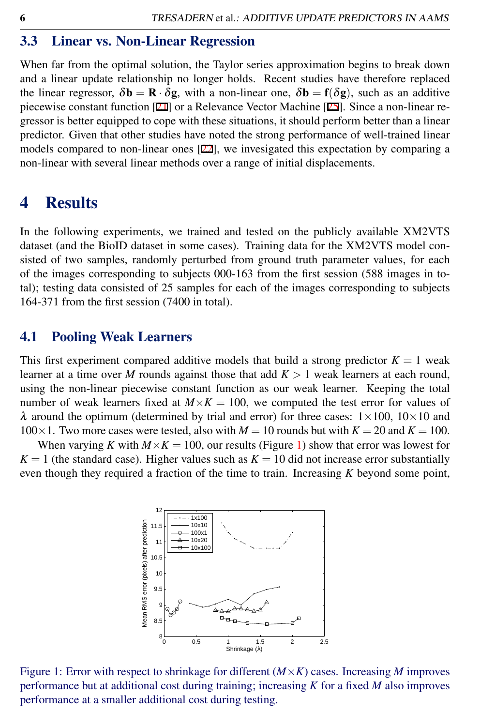#### 3.3 Linear vs. Non-Linear Regression

When far from the optimal solution, the Taylor series approximation begins to break down and a linear update relationship no longer holds. Recent studies have therefore replaced the linear regressor,  $\delta \mathbf{b} = \mathbf{R} \cdot \delta \mathbf{g}$ , with a non-linear one,  $\delta \mathbf{b} = \mathbf{f}(\delta \mathbf{g})$ , such as an additive piecewise constant function [21] or a Relevance Vector Machine [25]. Since a non-linear regressor is better equipped to cope with these situations, it should perform better than a linear predictor. Given that other studies have noted the strong performance of well-trained linear models compared to non-linear ones [22], we invesigated this expectation by comparing a non-linear with several linear methods over a range of initial displacements.

### 4 Results

In the following experiments, we trained and tested on the publicly available XM2VTS dataset (and the BioID dataset in some cases). Training data for the XM2VTS model consisted of two samples, randomly perturbed from ground truth parameter values, for each of the images corresponding to subjects 000-163 from the first session (588 images in total); testing data consisted of 25 samples for each of the images corresponding to subjects 164-371 from the first session (7400 in total).

#### 4.1 Pooling Weak Learners

This first experiment compared additive models that build a strong predictor  $K = 1$  weak learner at a time over *M* rounds against those that add  $K > 1$  weak learners at each round, using the non-linear piecewise constant function as our weak learner. Keeping the total number of weak learners fixed at  $M \times K = 100$ , we computed the test error for values of  $\lambda$  around the optimum (determined by trial and error) for three cases:  $1 \times 100$ ,  $10 \times 10$  and  $100\times1$ . Two more cases were tested, also with  $M = 10$  rounds but with  $K = 20$  and  $K = 100$ .

When varying *K* with  $M \times K = 100$ , our results (Figure [1\)](#page-5-0) show that error was lowest for  $K = 1$  (the standard case). Higher values such as  $K = 10$  did not increase error substantially even though they required a fraction of the time to train. Increasing *K* beyond some point,



<span id="page-5-0"></span>Figure 1: Error with respect to shrinkage for different (*M*×*K*) cases. Increasing *M* improves performance but at additional cost during training; increasing *K* for a fixed *M* also improves performance at a smaller additional cost during testing.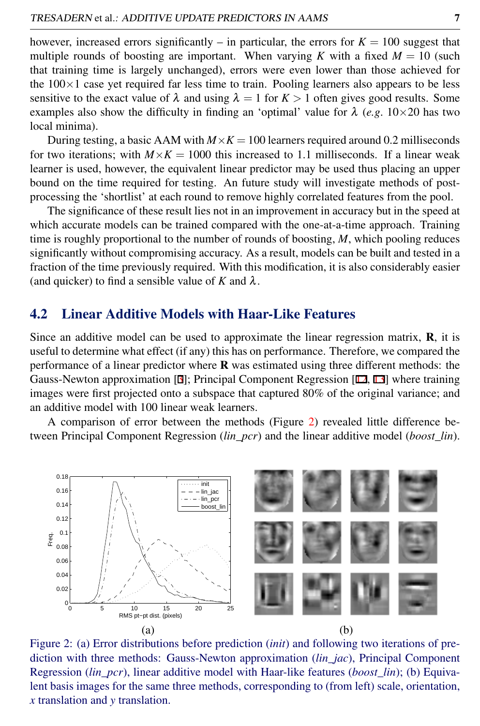however, increased errors significantly – in particular, the errors for  $K = 100$  suggest that multiple rounds of boosting are important. When varying *K* with a fixed  $M = 10$  (such that training time is largely unchanged), errors were even lower than those achieved for the  $100\times1$  case yet required far less time to train. Pooling learners also appears to be less sensitive to the exact value of  $\lambda$  and using  $\lambda = 1$  for  $K > 1$  often gives good results. Some examples also show the difficulty in finding an 'optimal' value for  $\lambda$  (*e.g.* 10×20 has two local minima).

During testing, a basic AAM with  $M \times K = 100$  learners required around 0.2 milliseconds for two iterations; with  $M \times K = 1000$  this increased to 1.1 milliseconds. If a linear weak learner is used, however, the equivalent linear predictor may be used thus placing an upper bound on the time required for testing. An future study will investigate methods of postprocessing the 'shortlist' at each round to remove highly correlated features from the pool.

The significance of these result lies not in an improvement in accuracy but in the speed at which accurate models can be trained compared with the one-at-a-time approach. Training time is roughly proportional to the number of rounds of boosting, *M*, which pooling reduces significantly without compromising accuracy. As a result, models can be built and tested in a fraction of the time previously required. With this modification, it is also considerably easier (and quicker) to find a sensible value of  $K$  and  $\lambda$ .

#### 4.2 Linear Additive Models with Haar-Like Features

Since an additive model can be used to approximate the linear regression matrix,  $\bf{R}$ , it is useful to determine what effect (if any) this has on performance. Therefore, we compared the performance of a linear predictor where  $\bf{R}$  was estimated using three different methods: the Gauss-Newton approximation [3]; Principal Component Regression [12, 13] where training images were first projected onto a subspace that captured 80% of the original variance; and an additive model with 100 linear weak learners.

A comparison of error between the methods (Figure [2\)](#page-6-0) revealed little difference between Principal Component Regression (*lin\_pcr*) and the linear additive model (*boost\_lin*).

<span id="page-6-0"></span>

Figure 2: (a) Error distributions before prediction (*init*) and following two iterations of prediction with three methods: Gauss-Newton approximation (*lin\_jac*), Principal Component Regression (*lin\_pcr*), linear additive model with Haar-like features (*boost\_lin*); (b) Equivalent basis images for the same three methods, corresponding to (from left) scale, orientation, *x* translation and *y* translation.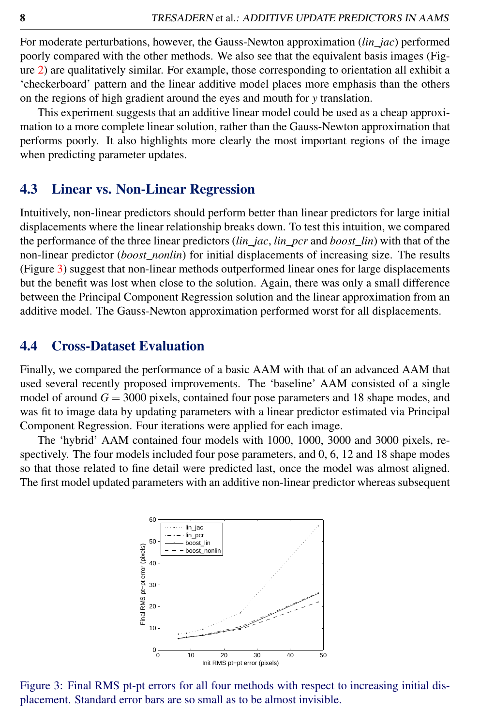For moderate perturbations, however, the Gauss-Newton approximation (*lin\_jac*) performed poorly compared with the other methods. We also see that the equivalent basis images (Figure [2\)](#page-6-0) are qualitatively similar. For example, those corresponding to orientation all exhibit a 'checkerboard' pattern and the linear additive model places more emphasis than the others on the regions of high gradient around the eyes and mouth for *y* translation.

This experiment suggests that an additive linear model could be used as a cheap approximation to a more complete linear solution, rather than the Gauss-Newton approximation that performs poorly. It also highlights more clearly the most important regions of the image when predicting parameter updates.

#### 4.3 Linear vs. Non-Linear Regression

Intuitively, non-linear predictors should perform better than linear predictors for large initial displacements where the linear relationship breaks down. To test this intuition, we compared the performance of the three linear predictors (*lin\_jac*, *lin\_pcr* and *boost\_lin*) with that of the non-linear predictor (*boost\_nonlin*) for initial displacements of increasing size. The results (Figure [3\)](#page-7-0) suggest that non-linear methods outperformed linear ones for large displacements but the benefit was lost when close to the solution. Again, there was only a small difference between the Principal Component Regression solution and the linear approximation from an additive model. The Gauss-Newton approximation performed worst for all displacements.

#### 4.4 Cross-Dataset Evaluation

Finally, we compared the performance of a basic AAM with that of an advanced AAM that used several recently proposed improvements. The 'baseline' AAM consisted of a single model of around  $G = 3000$  pixels, contained four pose parameters and 18 shape modes, and was fit to image data by updating parameters with a linear predictor estimated via Principal Component Regression. Four iterations were applied for each image.

The 'hybrid' AAM contained four models with 1000, 1000, 3000 and 3000 pixels, respectively. The four models included four pose parameters, and 0, 6, 12 and 18 shape modes so that those related to fine detail were predicted last, once the model was almost aligned. The first model updated parameters with an additive non-linear predictor whereas subsequent

<span id="page-7-0"></span>

Figure 3: Final RMS pt-pt errors for all four methods with respect to increasing initial displacement. Standard error bars are so small as to be almost invisible.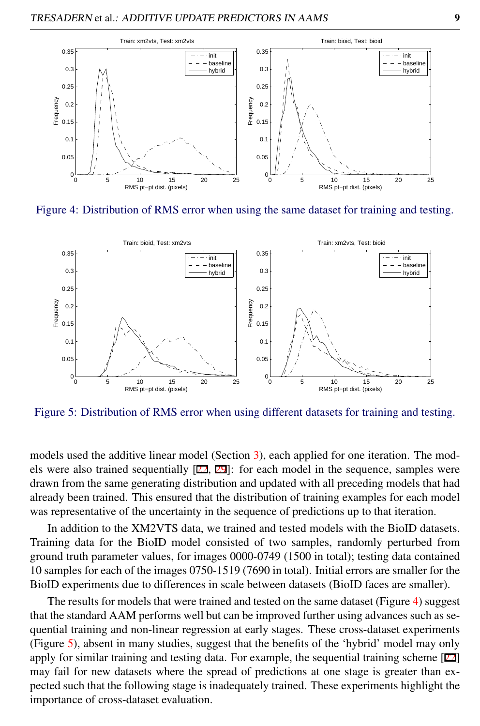

Figure 4: Distribution of RMS error when using the same dataset for training and testing.

<span id="page-8-0"></span>

<span id="page-8-1"></span>Figure 5: Distribution of RMS error when using different datasets for training and testing.

models used the additive linear model (Section [3\)](#page-3-1), each applied for one iteration. The models were also trained sequentially [22, 29]: for each model in the sequence, samples were drawn from the same generating distribution and updated with all preceding models that had already been trained. This ensured that the distribution of training examples for each model was representative of the uncertainty in the sequence of predictions up to that iteration.

In addition to the XM2VTS data, we trained and tested models with the BioID datasets. Training data for the BioID model consisted of two samples, randomly perturbed from ground truth parameter values, for images 0000-0749 (1500 in total); testing data contained 10 samples for each of the images 0750-1519 (7690 in total). Initial errors are smaller for the BioID experiments due to differences in scale between datasets (BioID faces are smaller).

The results for models that were trained and tested on the same dataset (Figure [4\)](#page-8-0) suggest that the standard AAM performs well but can be improved further using advances such as sequential training and non-linear regression at early stages. These cross-dataset experiments (Figure [5\)](#page-8-1), absent in many studies, suggest that the benefits of the 'hybrid' model may only apply for similar training and testing data. For example, the sequential training scheme [22] may fail for new datasets where the spread of predictions at one stage is greater than expected such that the following stage is inadequately trained. These experiments highlight the importance of cross-dataset evaluation.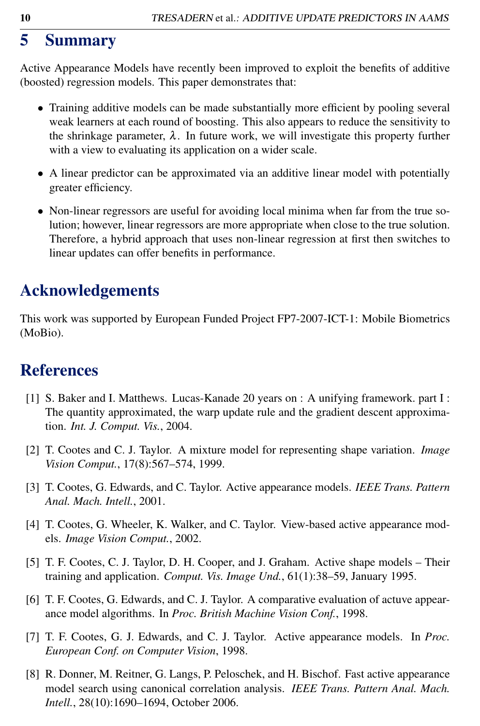# 5 Summary

Active Appearance Models have recently been improved to exploit the benefits of additive (boosted) regression models. This paper demonstrates that:

- Training additive models can be made substantially more efficient by pooling several weak learners at each round of boosting. This also appears to reduce the sensitivity to the shrinkage parameter,  $\lambda$ . In future work, we will investigate this property further with a view to evaluating its application on a wider scale.
- A linear predictor can be approximated via an additive linear model with potentially greater efficiency.
- Non-linear regressors are useful for avoiding local minima when far from the true solution; however, linear regressors are more appropriate when close to the true solution. Therefore, a hybrid approach that uses non-linear regression at first then switches to linear updates can offer benefits in performance.

# Acknowledgements

This work was supported by European Funded Project FP7-2007-ICT-1: Mobile Biometrics (MoBio).

# References

- [1] S. Baker and I. Matthews. Lucas-Kanade 20 years on : A unifying framework. part I : The quantity approximated, the warp update rule and the gradient descent approximation. *Int. J. Comput. Vis.*, 2004.
- [2] T. Cootes and C. J. Taylor. A mixture model for representing shape variation. *Image Vision Comput.*, 17(8):567–574, 1999.
- [3] T. Cootes, G. Edwards, and C. Taylor. Active appearance models. *IEEE Trans. Pattern Anal. Mach. Intell.*, 2001.
- [4] T. Cootes, G. Wheeler, K. Walker, and C. Taylor. View-based active appearance models. *Image Vision Comput.*, 2002.
- [5] T. F. Cootes, C. J. Taylor, D. H. Cooper, and J. Graham. Active shape models Their training and application. *Comput. Vis. Image Und.*, 61(1):38–59, January 1995.
- [6] T. F. Cootes, G. Edwards, and C. J. Taylor. A comparative evaluation of actuve appearance model algorithms. In *Proc. British Machine Vision Conf.*, 1998.
- [7] T. F. Cootes, G. J. Edwards, and C. J. Taylor. Active appearance models. In *Proc. European Conf. on Computer Vision*, 1998.
- [8] R. Donner, M. Reitner, G. Langs, P. Peloschek, and H. Bischof. Fast active appearance model search using canonical correlation analysis. *IEEE Trans. Pattern Anal. Mach. Intell.*, 28(10):1690–1694, October 2006.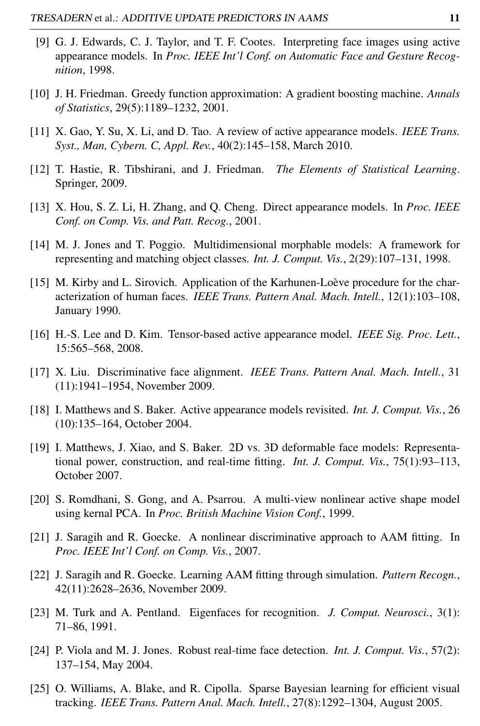- [9] G. J. Edwards, C. J. Taylor, and T. F. Cootes. Interpreting face images using active appearance models. In *Proc. IEEE Int'l Conf. on Automatic Face and Gesture Recognition*, 1998.
- [10] J. H. Friedman. Greedy function approximation: A gradient boosting machine. *Annals of Statistics*, 29(5):1189–1232, 2001.
- [11] X. Gao, Y. Su, X. Li, and D. Tao. A review of active appearance models. *IEEE Trans. Syst., Man, Cybern. C, Appl. Rev.*, 40(2):145–158, March 2010.
- [12] T. Hastie, R. Tibshirani, and J. Friedman. *The Elements of Statistical Learning*. Springer, 2009.
- [13] X. Hou, S. Z. Li, H. Zhang, and Q. Cheng. Direct appearance models. In *Proc. IEEE Conf. on Comp. Vis. and Patt. Recog.*, 2001.
- [14] M. J. Jones and T. Poggio. Multidimensional morphable models: A framework for representing and matching object classes. *Int. J. Comput. Vis.*, 2(29):107–131, 1998.
- [15] M. Kirby and L. Sirovich. Application of the Karhunen-Loève procedure for the characterization of human faces. *IEEE Trans. Pattern Anal. Mach. Intell.*, 12(1):103–108, January 1990.
- [16] H.-S. Lee and D. Kim. Tensor-based active appearance model. *IEEE Sig. Proc. Lett.*, 15:565–568, 2008.
- [17] X. Liu. Discriminative face alignment. *IEEE Trans. Pattern Anal. Mach. Intell.*, 31 (11):1941–1954, November 2009.
- [18] I. Matthews and S. Baker. Active appearance models revisited. *Int. J. Comput. Vis.*, 26 (10):135–164, October 2004.
- [19] I. Matthews, J. Xiao, and S. Baker. 2D vs. 3D deformable face models: Representational power, construction, and real-time fitting. *Int. J. Comput. Vis.*, 75(1):93–113, October 2007.
- [20] S. Romdhani, S. Gong, and A. Psarrou. A multi-view nonlinear active shape model using kernal PCA. In *Proc. British Machine Vision Conf.*, 1999.
- [21] J. Saragih and R. Goecke. A nonlinear discriminative approach to AAM fitting. In *Proc. IEEE Int'l Conf. on Comp. Vis.*, 2007.
- [22] J. Saragih and R. Goecke. Learning AAM fitting through simulation. *Pattern Recogn.*, 42(11):2628–2636, November 2009.
- [23] M. Turk and A. Pentland. Eigenfaces for recognition. *J. Comput. Neurosci.*, 3(1): 71–86, 1991.
- [24] P. Viola and M. J. Jones. Robust real-time face detection. *Int. J. Comput. Vis.*, 57(2): 137–154, May 2004.
- [25] O. Williams, A. Blake, and R. Cipolla. Sparse Bayesian learning for efficient visual tracking. *IEEE Trans. Pattern Anal. Mach. Intell.*, 27(8):1292–1304, August 2005.